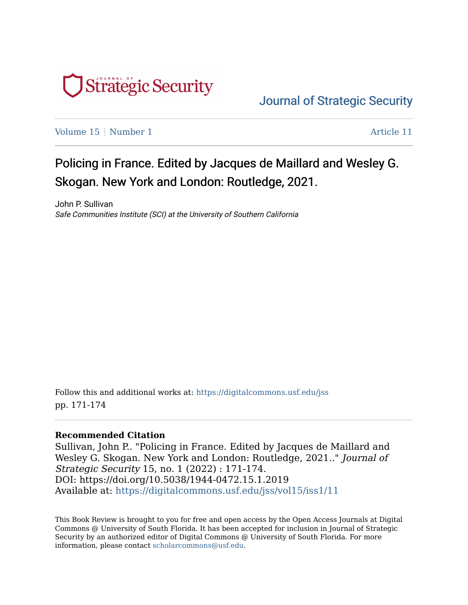

[Journal of Strategic Security](https://digitalcommons.usf.edu/jss) 

[Volume 15](https://digitalcommons.usf.edu/jss/vol15) | [Number 1](https://digitalcommons.usf.edu/jss/vol15/iss1) Article 11

# Policing in France. Edited by Jacques de Maillard and Wesley G. Skogan. New York and London: Routledge, 2021.

John P. Sullivan Safe Communities Institute (SCI) at the University of Southern California

Follow this and additional works at: [https://digitalcommons.usf.edu/jss](https://digitalcommons.usf.edu/jss?utm_source=digitalcommons.usf.edu%2Fjss%2Fvol15%2Fiss1%2F11&utm_medium=PDF&utm_campaign=PDFCoverPages) pp. 171-174

#### **Recommended Citation**

Sullivan, John P.. "Policing in France. Edited by Jacques de Maillard and Wesley G. Skogan. New York and London: Routledge, 2021.." Journal of Strategic Security 15, no. 1 (2022) : 171-174. DOI: https://doi.org/10.5038/1944-0472.15.1.2019 Available at: [https://digitalcommons.usf.edu/jss/vol15/iss1/11](https://digitalcommons.usf.edu/jss/vol15/iss1/11?utm_source=digitalcommons.usf.edu%2Fjss%2Fvol15%2Fiss1%2F11&utm_medium=PDF&utm_campaign=PDFCoverPages) 

This Book Review is brought to you for free and open access by the Open Access Journals at Digital Commons @ University of South Florida. It has been accepted for inclusion in Journal of Strategic Security by an authorized editor of Digital Commons @ University of South Florida. For more information, please contact [scholarcommons@usf.edu.](mailto:scholarcommons@usf.edu)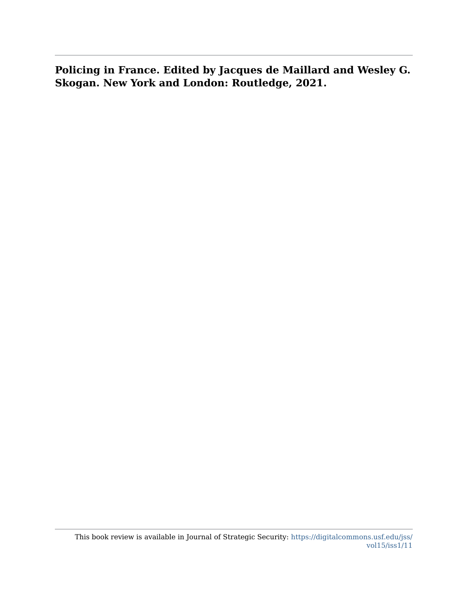**Policing in France. Edited by Jacques de Maillard and Wesley G. Skogan. New York and London: Routledge, 2021.**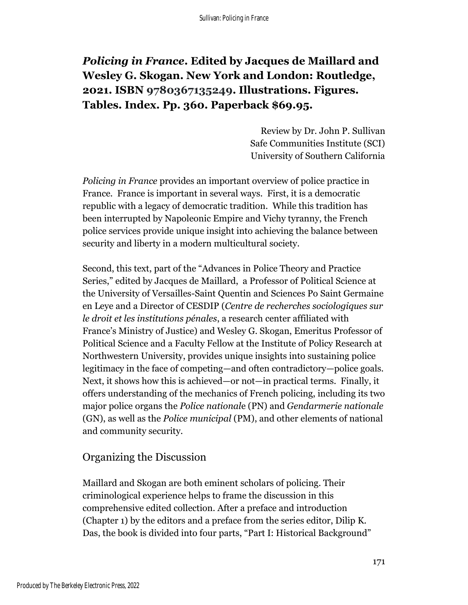# *Policing in France***. Edited by Jacques de Maillard and Wesley G. Skogan. New York and London: Routledge, 2021. ISBN 9780367135249. Illustrations. Figures. Tables. Index. Pp. 360. Paperback \$69.95.**

Review by Dr. John P. Sullivan Safe Communities Institute (SCI) University of Southern California

*Policing in France* provides an important overview of police practice in France. France is important in several ways. First, it is a democratic republic with a legacy of democratic tradition. While this tradition has been interrupted by Napoleonic Empire and Vichy tyranny, the French police services provide unique insight into achieving the balance between security and liberty in a modern multicultural society.

Second, this text, part of the "Advances in Police Theory and Practice Series," edited by Jacques de Maillard, a Professor of Political Science at the University of Versailles-Saint Quentin and Sciences Po Saint Germaine en Leye and a Director of CESDIP (*Centre de recherches sociologiques sur le droit et les institutions pénales*, a research center affiliated with France's Ministry of Justice) and Wesley G. Skogan, Emeritus Professor of Political Science and a Faculty Fellow at the Institute of Policy Research at Northwestern University, provides unique insights into sustaining police legitimacy in the face of competing—and often contradictory—police goals. Next, it shows how this is achieved—or not—in practical terms. Finally, it offers understanding of the mechanics of French policing, including its two major police organs the *Police national*e (PN) and *Gendarmerie nationale*  (GN), as well as the *Police municipal* (PM), and other elements of national and community security.

#### Organizing the Discussion

Maillard and Skogan are both eminent scholars of policing. Their criminological experience helps to frame the discussion in this comprehensive edited collection. After a preface and introduction (Chapter 1) by the editors and a preface from the series editor, Dilip K. Das, the book is divided into four parts, "Part I: Historical Background"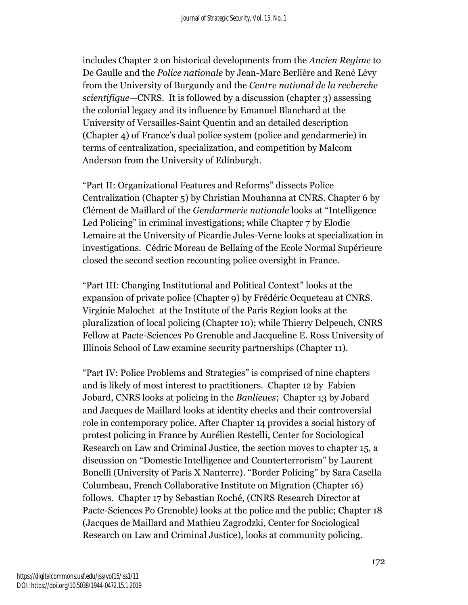includes Chapter 2 on historical developments from the *Ancien Regime* to De Gaulle and the *Police nationale* by Jean-Marc Berlière and René Lévy from the University of Burgundy and the *Centre national de la recherche scientifique*—CNRS. It is followed by a discussion (chapter 3) assessing the colonial legacy and its influence by Emanuel Blanchard at the University of Versailles-Saint Quentin and an detailed description (Chapter 4) of France's dual police system (police and gendarmerie) in terms of centralization, specialization, and competition by Malcom Anderson from the University of Edinburgh.

"Part II: Organizational Features and Reforms" dissects Police Centralization (Chapter 5) by Christian Mouhanna at CNRS. Chapter 6 by Clément de Maillard of the *Gendarmerie nationale* looks at "Intelligence Led Policing" in criminal investigations; while Chapter 7 by Elodie Lemaire at the University of Picardie Jules-Verne looks at specialization in investigations. Cédric Moreau de Bellaing of the Ecole Normal Supérieure closed the second section recounting police oversight in France.

"Part III: Changing Institutional and Political Context" looks at the expansion of private police (Chapter 9) by Frédéric Ocqueteau at CNRS. Virginie Malochet at the Institute of the Paris Region looks at the pluralization of local policing (Chapter 10); while Thierry Delpeuch, CNRS Fellow at Pacte-Sciences Po Grenoble and Jacqueline E. Ross University of Illinois School of Law examine security partnerships (Chapter 11).

"Part IV: Police Problems and Strategies" is comprised of nine chapters and is likely of most interest to practitioners. Chapter 12 by Fabien Jobard, CNRS looks at policing in the *Banlieues*; Chapter 13 by Jobard and Jacques de Maillard looks at identity checks and their controversial role in contemporary police. After Chapter 14 provides a social history of protest policing in France by Aurélien Restelli, Center for Sociological Research on Law and Criminal Justice, the section moves to chapter 15, a discussion on "Domestic Intelligence and Counterterrorism" by Laurent Bonelli (University of Paris X Nanterre). "Border Policing" by Sara Casella Columbeau, French Collaborative Institute on Migration (Chapter 16) follows. Chapter 17 by Sebastian Roché, (CNRS Research Director at Pacte-Sciences Po Grenoble) looks at the police and the public; Chapter 18 (Jacques de Maillard and Mathieu Zagrodzki, Center for Sociological Research on Law and Criminal Justice), looks at community policing.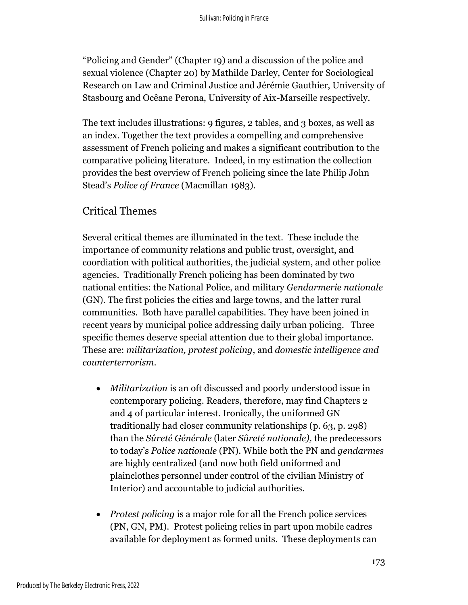"Policing and Gender" (Chapter 19) and a discussion of the police and sexual violence (Chapter 20) by Mathilde Darley, Center for Sociological Research on Law and Criminal Justice and Jérémie Gauthier, University of Stasbourg and Ocêane Perona, University of Aix-Marseille respectively.

The text includes illustrations: 9 figures, 2 tables, and 3 boxes, as well as an index. Together the text provides a compelling and comprehensive assessment of French policing and makes a significant contribution to the comparative policing literature. Indeed, in my estimation the collection provides the best overview of French policing since the late Philip John Stead's *Police of France* (Macmillan 1983).

## Critical Themes

Several critical themes are illuminated in the text. These include the importance of community relations and public trust, oversight, and coordiation with political authorities, the judicial system, and other police agencies. Traditionally French policing has been dominated by two national entities: the National Police, and military *Gendarmerie nationale* (GN). The first policies the cities and large towns, and the latter rural communities. Both have parallel capabilities. They have been joined in recent years by municipal police addressing daily urban policing. Three specific themes deserve special attention due to their global importance. These are: *militarization, protest policing*, and *domestic intelligence and counterterrorism*.

- *Militarization* is an oft discussed and poorly understood issue in contemporary policing. Readers, therefore, may find Chapters 2 and 4 of particular interest. Ironically, the uniformed GN traditionally had closer community relationships (p. 63, p. 298) than the *Sûreté Générale* (later *Sûreté nationale),* the predecessors to today's *Police nationale* (PN). While both the PN and *gendarmes* are highly centralized (and now both field uniformed and plainclothes personnel under control of the civilian Ministry of Interior) and accountable to judicial authorities.
- *Protest policing* is a major role for all the French police services (PN, GN, PM). Protest policing relies in part upon mobile cadres available for deployment as formed units. These deployments can